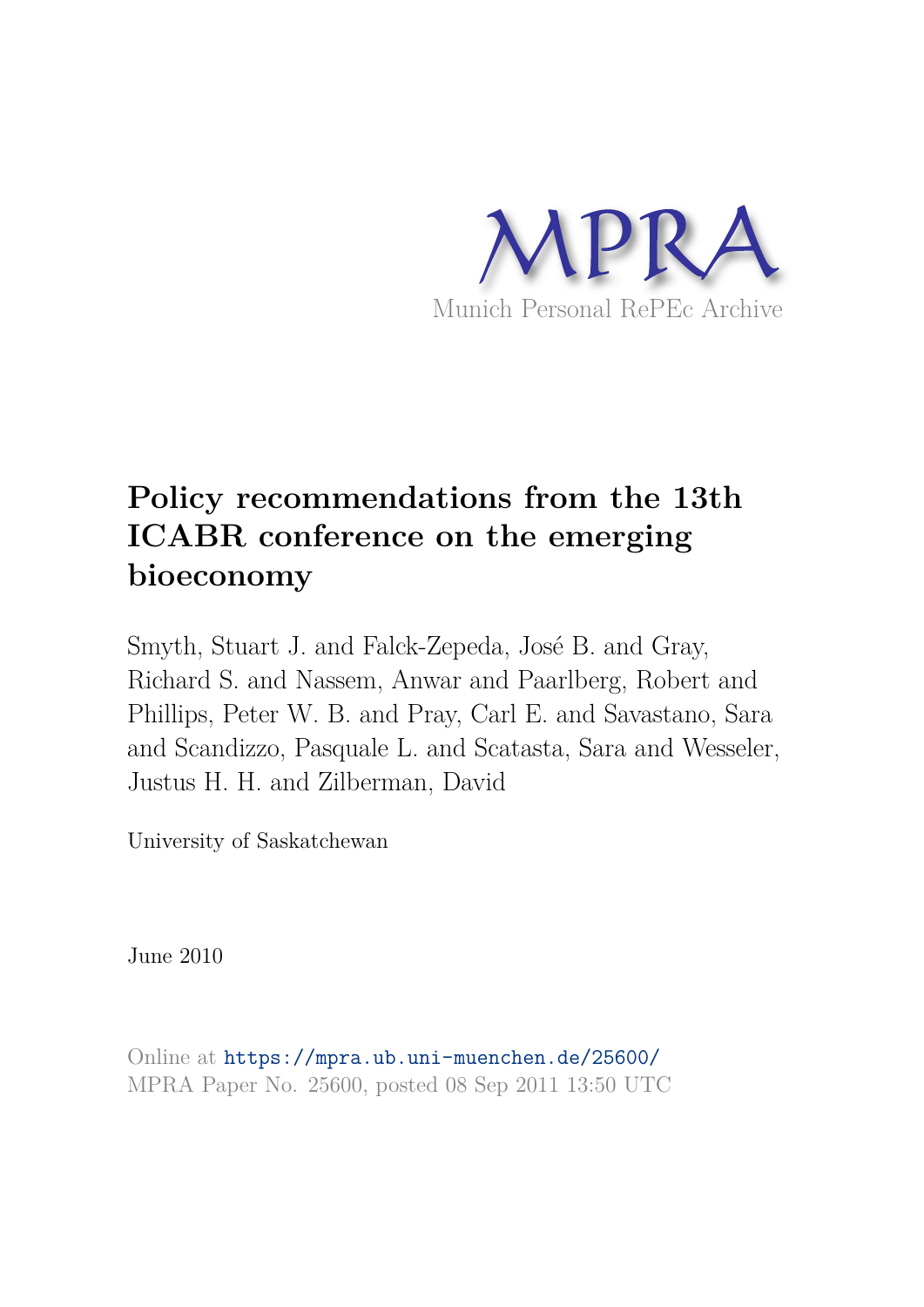

# **Policy recommendations from the 13th ICABR conference on the emerging bioeconomy**

Smyth, Stuart J. and Falck-Zepeda, José B. and Gray, Richard S. and Nassem, Anwar and Paarlberg, Robert and Phillips, Peter W. B. and Pray, Carl E. and Savastano, Sara and Scandizzo, Pasquale L. and Scatasta, Sara and Wesseler, Justus H. H. and Zilberman, David

University of Saskatchewan

June 2010

Online at https://mpra.ub.uni-muenchen.de/25600/ MPRA Paper No. 25600, posted 08 Sep 2011 13:50 UTC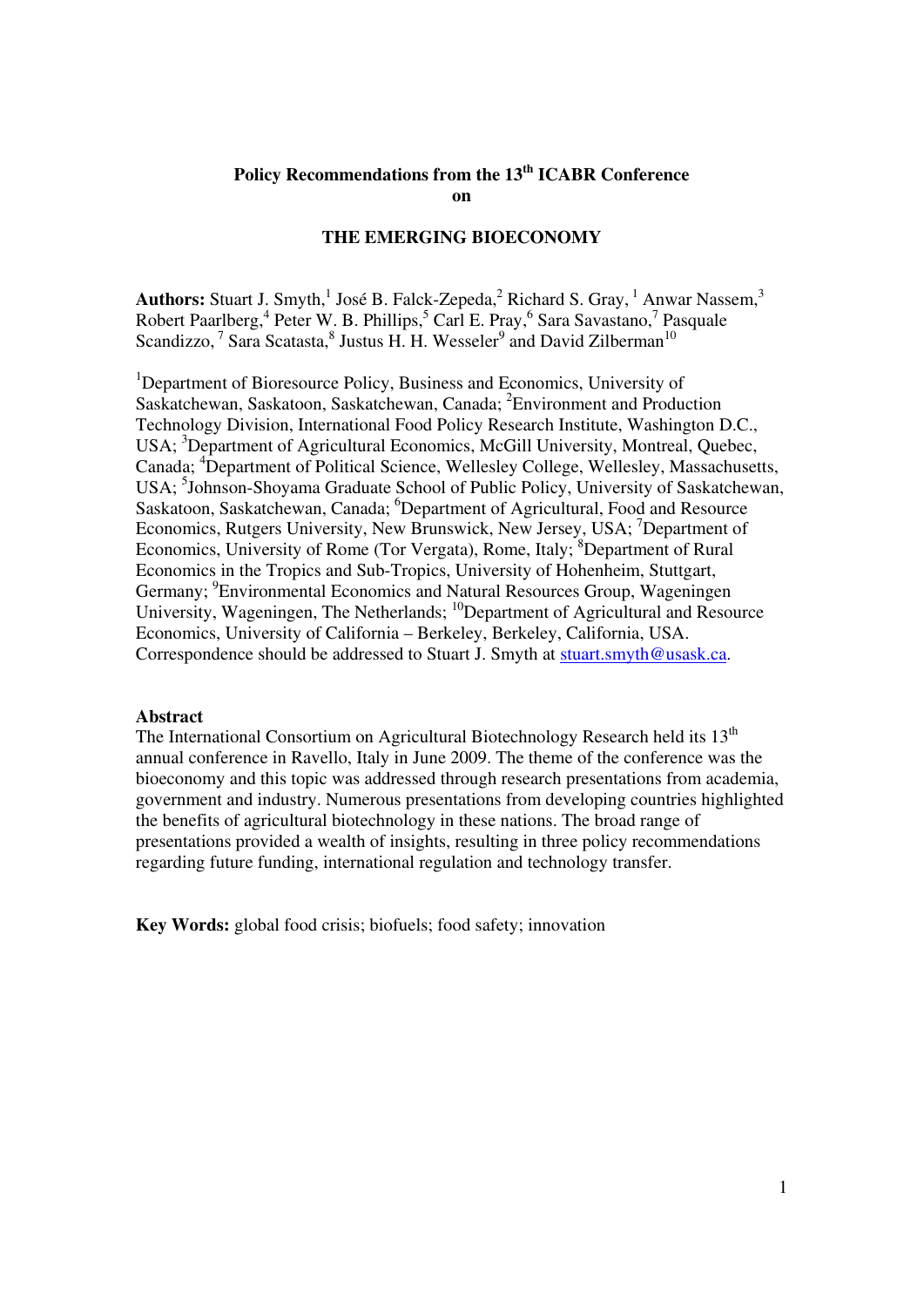# **Policy Recommendations from the 13th ICABR Conference on**

# **THE EMERGING BIOECONOMY**

**Authors:** Stuart J. Smyth,<sup>1</sup> José B. Falck-Zepeda,<sup>2</sup> Richard S. Gray,<sup>1</sup> Anwar Nassem,<sup>3</sup> Robert Paarlberg,<sup>4</sup> Peter W. B. Phillips,<sup>5</sup> Carl E. Pray,<sup>6</sup> Sara Savastano,<sup>7</sup> Pasquale Scandizzo,<sup>7</sup> Sara Scatasta,<sup>8</sup> Justus H. H. Wesseler<sup>9</sup> and David Zilberman<sup>10</sup>

<sup>1</sup>Department of Bioresource Policy, Business and Economics, University of Saskatchewan, Saskatoon, Saskatchewan, Canada; <sup>2</sup>Environment and Production Technology Division, International Food Policy Research Institute, Washington D.C., USA; <sup>3</sup>Department of Agricultural Economics, McGill University, Montreal, Quebec, Canada; <sup>4</sup>Department of Political Science, Wellesley College, Wellesley, Massachusetts, USA; <sup>5</sup>Johnson-Shoyama Graduate School of Public Policy, University of Saskatchewan, Saskatoon, Saskatchewan, Canada; <sup>6</sup>Department of Agricultural, Food and Resource Economics, Rutgers University, New Brunswick, New Jersey, USA; <sup>7</sup>Department of Economics, University of Rome (Tor Vergata), Rome, Italy; <sup>8</sup>Department of Rural Economics in the Tropics and Sub-Tropics, University of Hohenheim, Stuttgart, Germany; <sup>9</sup>Environmental Economics and Natural Resources Group, Wageningen University, Wageningen, The Netherlands; <sup>10</sup>Department of Agricultural and Resource Economics, University of California – Berkeley, Berkeley, California, USA. Correspondence should be addressed to Stuart J. Smyth at stuart.smyth@usask.ca.

### **Abstract**

The International Consortium on Agricultural Biotechnology Research held its  $13<sup>th</sup>$ annual conference in Ravello, Italy in June 2009. The theme of the conference was the bioeconomy and this topic was addressed through research presentations from academia, government and industry. Numerous presentations from developing countries highlighted the benefits of agricultural biotechnology in these nations. The broad range of presentations provided a wealth of insights, resulting in three policy recommendations regarding future funding, international regulation and technology transfer.

**Key Words:** global food crisis; biofuels; food safety; innovation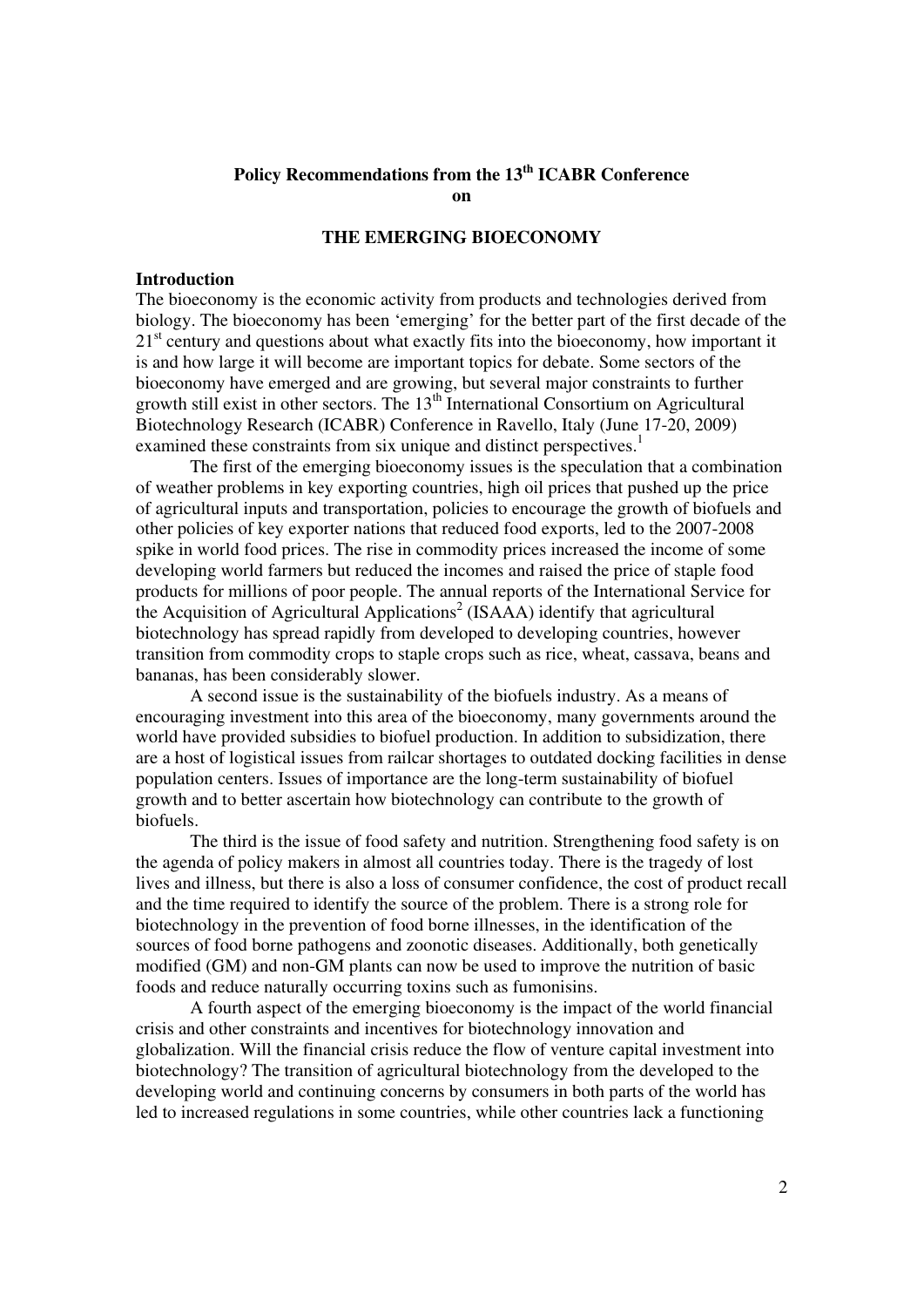# **Policy Recommendations from the 13th ICABR Conference on**

# **THE EMERGING BIOECONOMY**

## **Introduction**

The bioeconomy is the economic activity from products and technologies derived from biology. The bioeconomy has been 'emerging' for the better part of the first decade of the 21<sup>st</sup> century and questions about what exactly fits into the bioeconomy, how important it is and how large it will become are important topics for debate. Some sectors of the bioeconomy have emerged and are growing, but several major constraints to further growth still exist in other sectors. The 13<sup>th</sup> International Consortium on Agricultural Biotechnology Research (ICABR) Conference in Ravello, Italy (June 17-20, 2009) examined these constraints from six unique and distinct perspectives.<sup>1</sup>

The first of the emerging bioeconomy issues is the speculation that a combination of weather problems in key exporting countries, high oil prices that pushed up the price of agricultural inputs and transportation, policies to encourage the growth of biofuels and other policies of key exporter nations that reduced food exports, led to the 2007-2008 spike in world food prices. The rise in commodity prices increased the income of some developing world farmers but reduced the incomes and raised the price of staple food products for millions of poor people. The annual reports of the International Service for the Acquisition of Agricultural Applications<sup>2</sup> (ISAAA) identify that agricultural biotechnology has spread rapidly from developed to developing countries, however transition from commodity crops to staple crops such as rice, wheat, cassava, beans and bananas, has been considerably slower.

A second issue is the sustainability of the biofuels industry. As a means of encouraging investment into this area of the bioeconomy, many governments around the world have provided subsidies to biofuel production. In addition to subsidization, there are a host of logistical issues from railcar shortages to outdated docking facilities in dense population centers. Issues of importance are the long-term sustainability of biofuel growth and to better ascertain how biotechnology can contribute to the growth of biofuels.

The third is the issue of food safety and nutrition. Strengthening food safety is on the agenda of policy makers in almost all countries today. There is the tragedy of lost lives and illness, but there is also a loss of consumer confidence, the cost of product recall and the time required to identify the source of the problem. There is a strong role for biotechnology in the prevention of food borne illnesses, in the identification of the sources of food borne pathogens and zoonotic diseases. Additionally, both genetically modified (GM) and non-GM plants can now be used to improve the nutrition of basic foods and reduce naturally occurring toxins such as fumonisins.

A fourth aspect of the emerging bioeconomy is the impact of the world financial crisis and other constraints and incentives for biotechnology innovation and globalization. Will the financial crisis reduce the flow of venture capital investment into biotechnology? The transition of agricultural biotechnology from the developed to the developing world and continuing concerns by consumers in both parts of the world has led to increased regulations in some countries, while other countries lack a functioning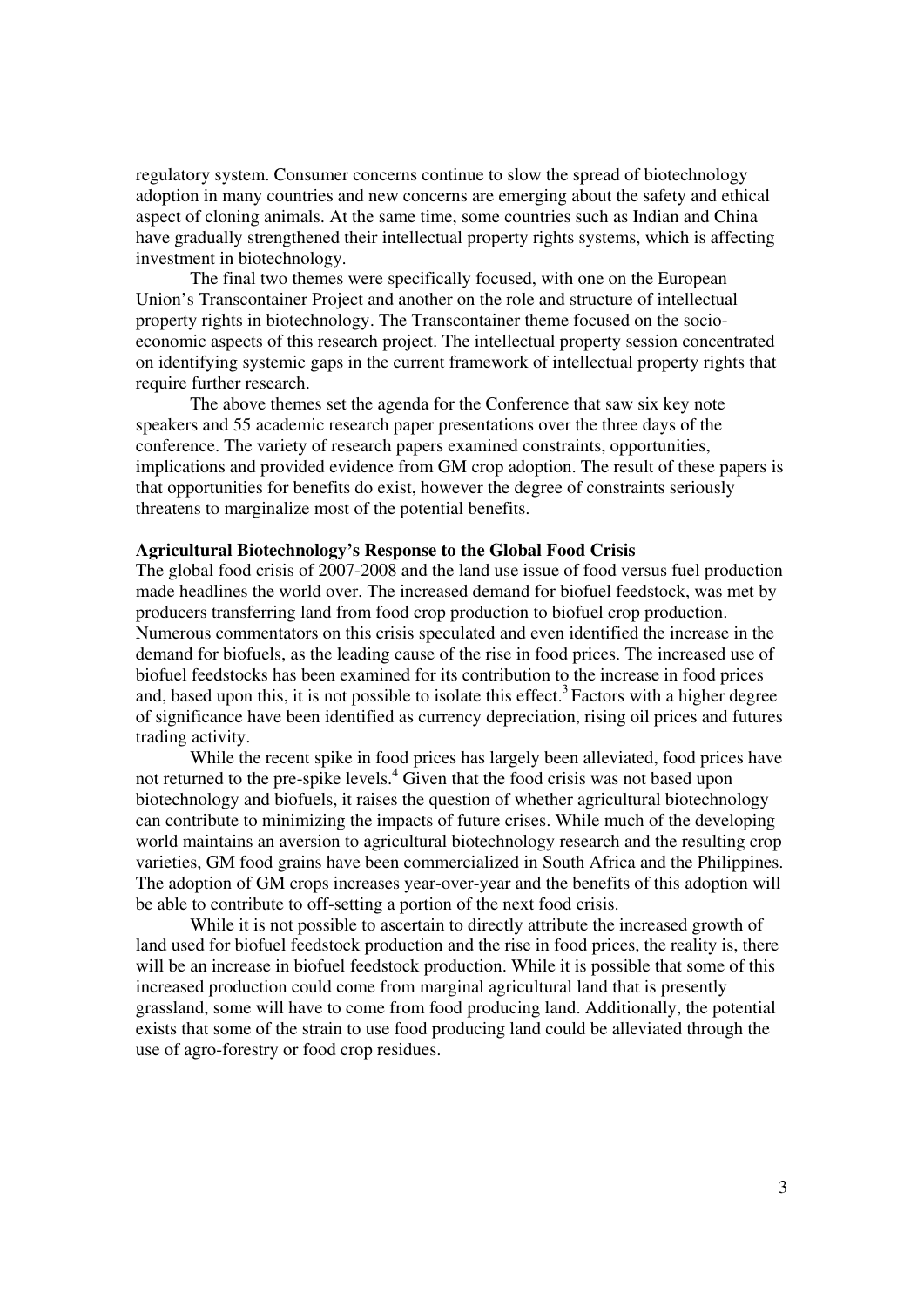regulatory system. Consumer concerns continue to slow the spread of biotechnology adoption in many countries and new concerns are emerging about the safety and ethical aspect of cloning animals. At the same time, some countries such as Indian and China have gradually strengthened their intellectual property rights systems, which is affecting investment in biotechnology.

The final two themes were specifically focused, with one on the European Union's Transcontainer Project and another on the role and structure of intellectual property rights in biotechnology. The Transcontainer theme focused on the socioeconomic aspects of this research project. The intellectual property session concentrated on identifying systemic gaps in the current framework of intellectual property rights that require further research.

The above themes set the agenda for the Conference that saw six key note speakers and 55 academic research paper presentations over the three days of the conference. The variety of research papers examined constraints, opportunities, implications and provided evidence from GM crop adoption. The result of these papers is that opportunities for benefits do exist, however the degree of constraints seriously threatens to marginalize most of the potential benefits.

# **Agricultural Biotechnology's Response to the Global Food Crisis**

The global food crisis of 2007-2008 and the land use issue of food versus fuel production made headlines the world over. The increased demand for biofuel feedstock, was met by producers transferring land from food crop production to biofuel crop production. Numerous commentators on this crisis speculated and even identified the increase in the demand for biofuels, as the leading cause of the rise in food prices. The increased use of biofuel feedstocks has been examined for its contribution to the increase in food prices and, based upon this, it is not possible to isolate this effect.<sup>3</sup> Factors with a higher degree of significance have been identified as currency depreciation, rising oil prices and futures trading activity.

While the recent spike in food prices has largely been alleviated, food prices have not returned to the pre-spike levels. $4\overline{6}$  diven that the food crisis was not based upon biotechnology and biofuels, it raises the question of whether agricultural biotechnology can contribute to minimizing the impacts of future crises. While much of the developing world maintains an aversion to agricultural biotechnology research and the resulting crop varieties, GM food grains have been commercialized in South Africa and the Philippines. The adoption of GM crops increases year-over-year and the benefits of this adoption will be able to contribute to off-setting a portion of the next food crisis.

While it is not possible to ascertain to directly attribute the increased growth of land used for biofuel feedstock production and the rise in food prices, the reality is, there will be an increase in biofuel feedstock production. While it is possible that some of this increased production could come from marginal agricultural land that is presently grassland, some will have to come from food producing land. Additionally, the potential exists that some of the strain to use food producing land could be alleviated through the use of agro-forestry or food crop residues.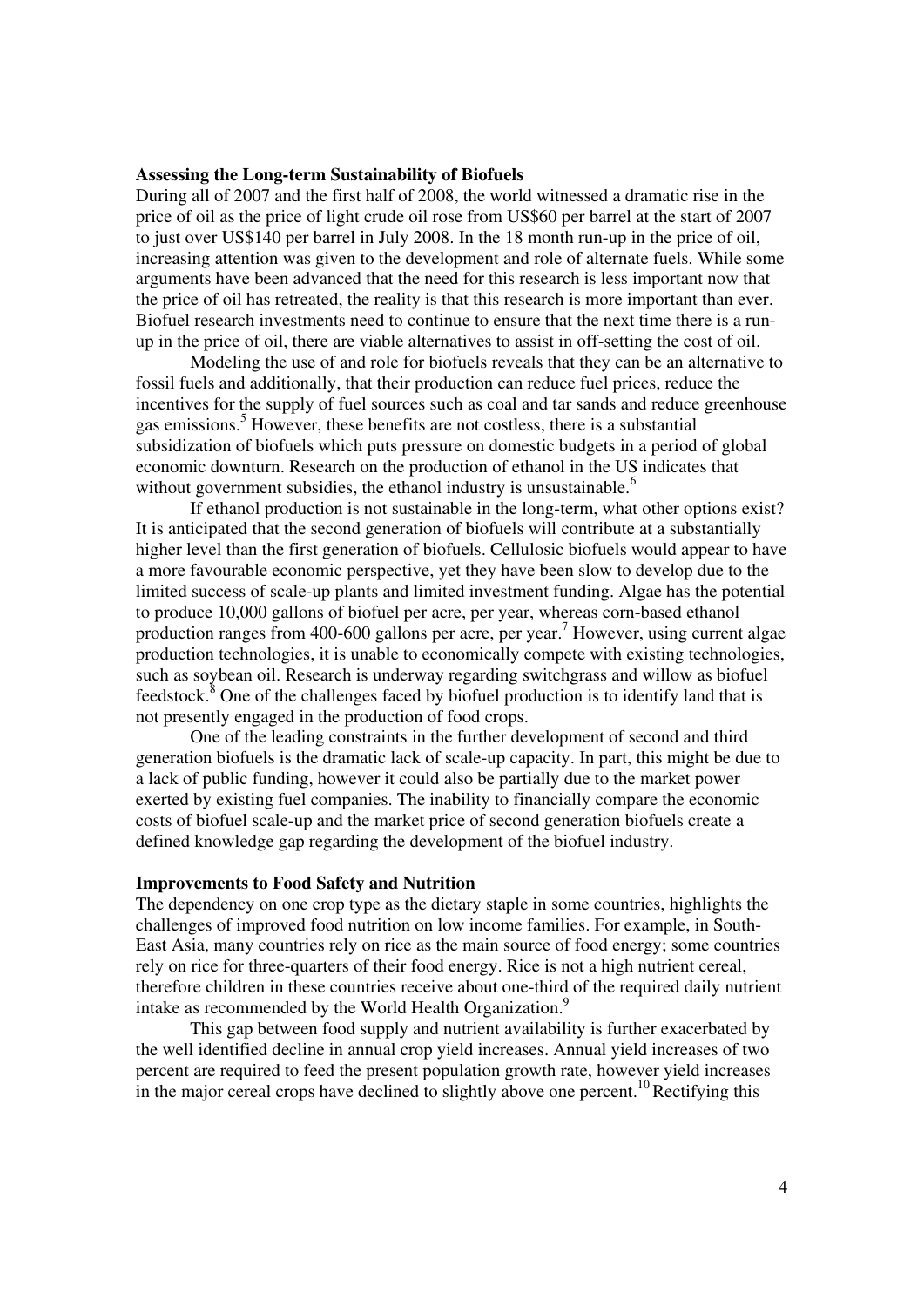#### **Assessing the Long-term Sustainability of Biofuels**

During all of 2007 and the first half of 2008, the world witnessed a dramatic rise in the price of oil as the price of light crude oil rose from US\$60 per barrel at the start of 2007 to just over US\$140 per barrel in July 2008. In the 18 month run-up in the price of oil, increasing attention was given to the development and role of alternate fuels. While some arguments have been advanced that the need for this research is less important now that the price of oil has retreated, the reality is that this research is more important than ever. Biofuel research investments need to continue to ensure that the next time there is a runup in the price of oil, there are viable alternatives to assist in off-setting the cost of oil.

Modeling the use of and role for biofuels reveals that they can be an alternative to fossil fuels and additionally, that their production can reduce fuel prices, reduce the incentives for the supply of fuel sources such as coal and tar sands and reduce greenhouse gas emissions.<sup>5</sup> However, these benefits are not costless, there is a substantial subsidization of biofuels which puts pressure on domestic budgets in a period of global economic downturn. Research on the production of ethanol in the US indicates that without government subsidies, the ethanol industry is unsustainable.<sup>6</sup>

If ethanol production is not sustainable in the long-term, what other options exist? It is anticipated that the second generation of biofuels will contribute at a substantially higher level than the first generation of biofuels. Cellulosic biofuels would appear to have a more favourable economic perspective, yet they have been slow to develop due to the limited success of scale-up plants and limited investment funding. Algae has the potential to produce 10,000 gallons of biofuel per acre, per year, whereas corn-based ethanol production ranges from 400-600 gallons per acre, per year.<sup>7</sup> However, using current algae production technologies, it is unable to economically compete with existing technologies, such as soybean oil. Research is underway regarding switchgrass and willow as biofuel feedstock.<sup>8</sup> One of the challenges faced by biofuel production is to identify land that is not presently engaged in the production of food crops.

One of the leading constraints in the further development of second and third generation biofuels is the dramatic lack of scale-up capacity. In part, this might be due to a lack of public funding, however it could also be partially due to the market power exerted by existing fuel companies. The inability to financially compare the economic costs of biofuel scale-up and the market price of second generation biofuels create a defined knowledge gap regarding the development of the biofuel industry.

# **Improvements to Food Safety and Nutrition**

The dependency on one crop type as the dietary staple in some countries, highlights the challenges of improved food nutrition on low income families. For example, in South-East Asia, many countries rely on rice as the main source of food energy; some countries rely on rice for three-quarters of their food energy. Rice is not a high nutrient cereal, therefore children in these countries receive about one-third of the required daily nutrient intake as recommended by the World Health Organization.<sup>9</sup>

This gap between food supply and nutrient availability is further exacerbated by the well identified decline in annual crop yield increases. Annual yield increases of two percent are required to feed the present population growth rate, however yield increases in the major cereal crops have declined to slightly above one percent.<sup>10</sup> Rectifying this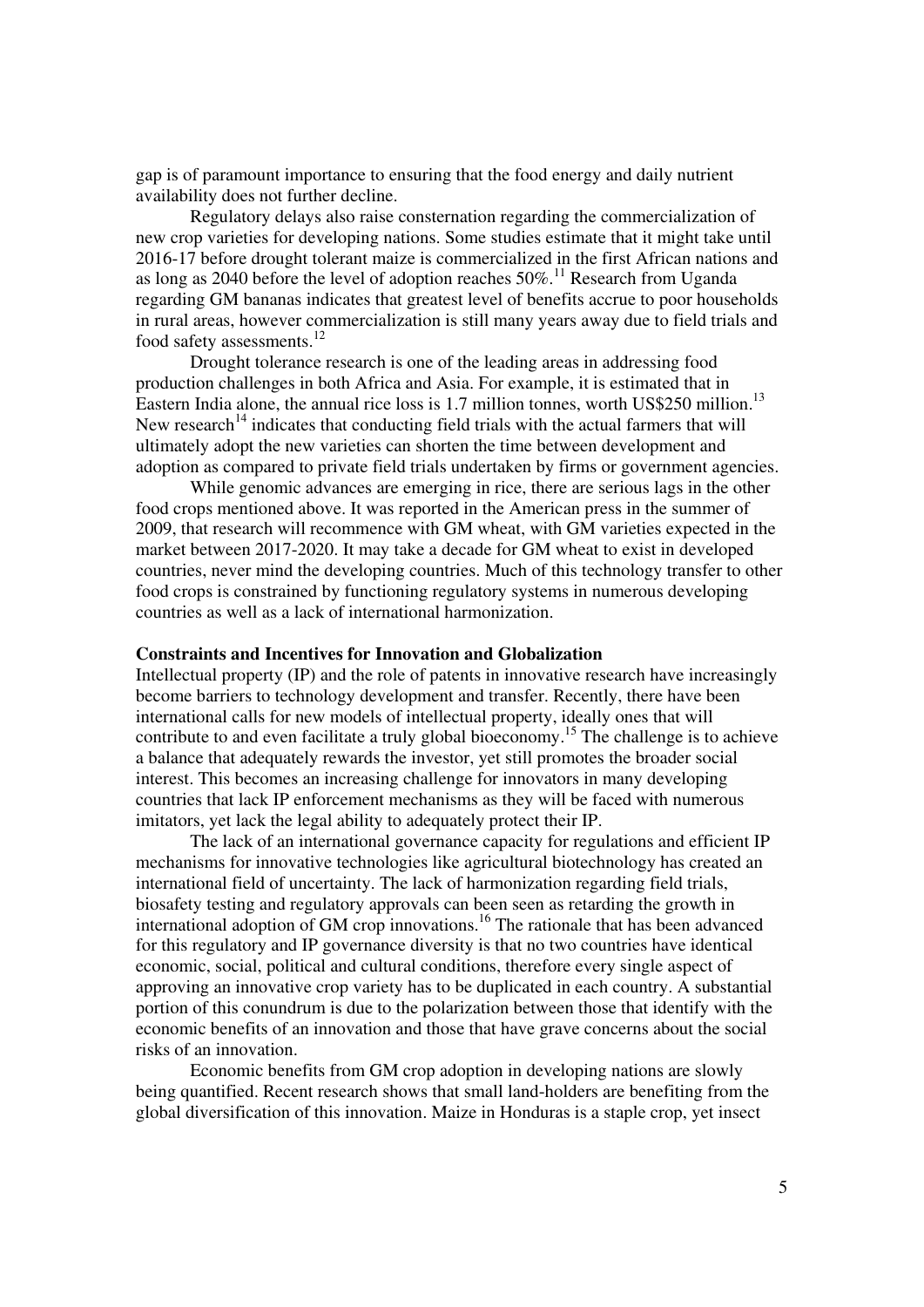gap is of paramount importance to ensuring that the food energy and daily nutrient availability does not further decline.

Regulatory delays also raise consternation regarding the commercialization of new crop varieties for developing nations. Some studies estimate that it might take until 2016-17 before drought tolerant maize is commercialized in the first African nations and as long as 2040 before the level of adoption reaches  $50\%$ .<sup>11</sup> Research from Uganda regarding GM bananas indicates that greatest level of benefits accrue to poor households in rural areas, however commercialization is still many years away due to field trials and food safety assessments.<sup>12</sup>

Drought tolerance research is one of the leading areas in addressing food production challenges in both Africa and Asia. For example, it is estimated that in Eastern India alone, the annual rice loss is  $1.7$  million tonnes, worth US\$250 million.<sup>13</sup> New research<sup>14</sup> indicates that conducting field trials with the actual farmers that will ultimately adopt the new varieties can shorten the time between development and adoption as compared to private field trials undertaken by firms or government agencies.

While genomic advances are emerging in rice, there are serious lags in the other food crops mentioned above. It was reported in the American press in the summer of 2009, that research will recommence with GM wheat, with GM varieties expected in the market between 2017-2020. It may take a decade for GM wheat to exist in developed countries, never mind the developing countries. Much of this technology transfer to other food crops is constrained by functioning regulatory systems in numerous developing countries as well as a lack of international harmonization.

## **Constraints and Incentives for Innovation and Globalization**

Intellectual property (IP) and the role of patents in innovative research have increasingly become barriers to technology development and transfer. Recently, there have been international calls for new models of intellectual property, ideally ones that will contribute to and even facilitate a truly global bioeconomy.<sup>15</sup> The challenge is to achieve a balance that adequately rewards the investor, yet still promotes the broader social interest. This becomes an increasing challenge for innovators in many developing countries that lack IP enforcement mechanisms as they will be faced with numerous imitators, yet lack the legal ability to adequately protect their IP.

The lack of an international governance capacity for regulations and efficient IP mechanisms for innovative technologies like agricultural biotechnology has created an international field of uncertainty. The lack of harmonization regarding field trials, biosafety testing and regulatory approvals can been seen as retarding the growth in international adoption of GM crop innovations.<sup>16</sup> The rationale that has been advanced for this regulatory and IP governance diversity is that no two countries have identical economic, social, political and cultural conditions, therefore every single aspect of approving an innovative crop variety has to be duplicated in each country. A substantial portion of this conundrum is due to the polarization between those that identify with the economic benefits of an innovation and those that have grave concerns about the social risks of an innovation.

Economic benefits from GM crop adoption in developing nations are slowly being quantified. Recent research shows that small land-holders are benefiting from the global diversification of this innovation. Maize in Honduras is a staple crop, yet insect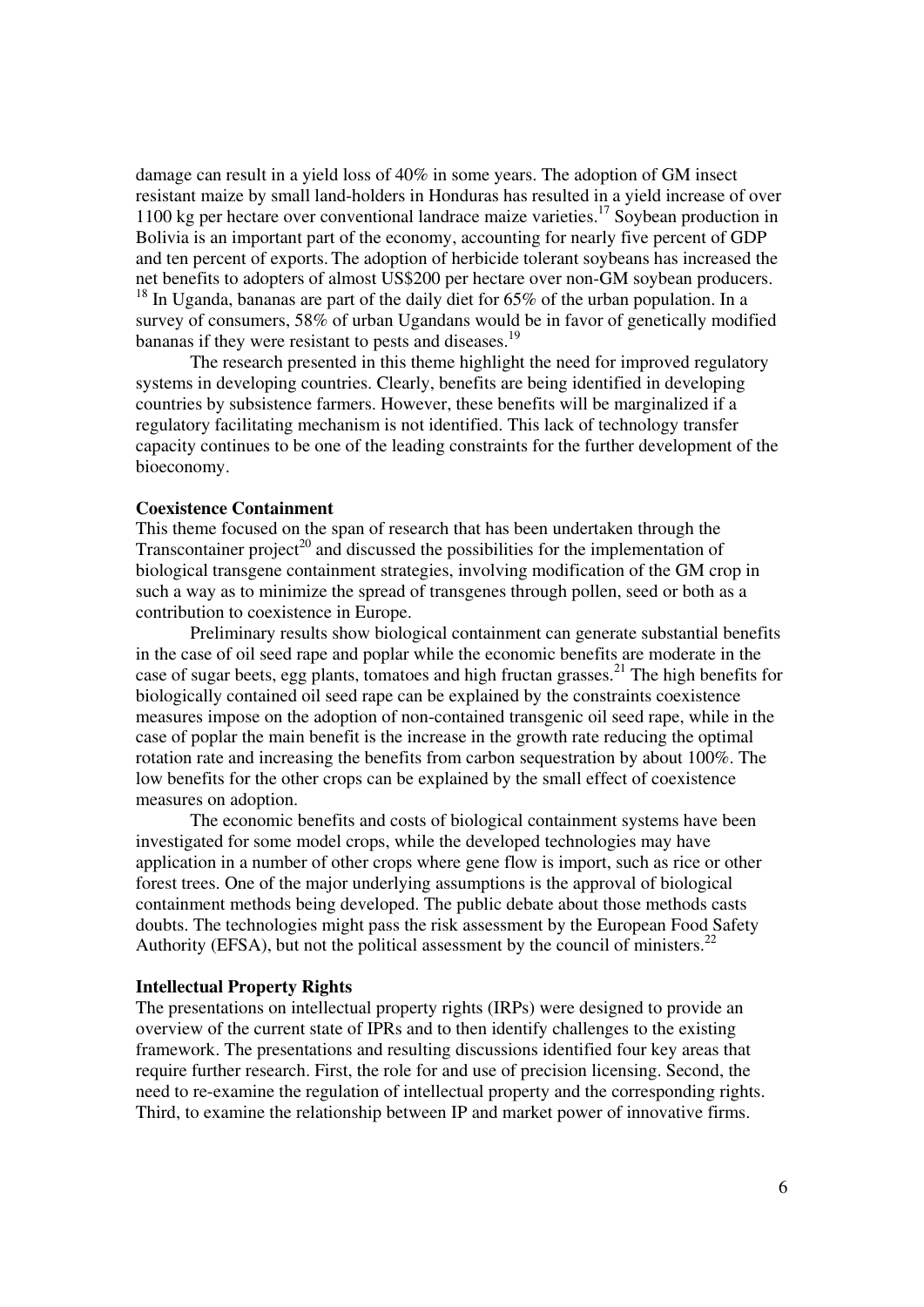damage can result in a yield loss of 40% in some years. The adoption of GM insect resistant maize by small land-holders in Honduras has resulted in a yield increase of over 1100 kg per hectare over conventional landrace maize varieties.<sup>17</sup> Soybean production in Bolivia is an important part of the economy, accounting for nearly five percent of GDP and ten percent of exports. The adoption of herbicide tolerant soybeans has increased the net benefits to adopters of almost US\$200 per hectare over non-GM soybean producers.  $18$  In Uganda, bananas are part of the daily diet for 65% of the urban population. In a survey of consumers, 58% of urban Ugandans would be in favor of genetically modified bananas if they were resistant to pests and diseases.<sup>19</sup>

 The research presented in this theme highlight the need for improved regulatory systems in developing countries. Clearly, benefits are being identified in developing countries by subsistence farmers. However, these benefits will be marginalized if a regulatory facilitating mechanism is not identified. This lack of technology transfer capacity continues to be one of the leading constraints for the further development of the bioeconomy.

# **Coexistence Containment**

This theme focused on the span of research that has been undertaken through the Transcontainer project<sup>20</sup> and discussed the possibilities for the implementation of biological transgene containment strategies, involving modification of the GM crop in such a way as to minimize the spread of transgenes through pollen, seed or both as a contribution to coexistence in Europe.

Preliminary results show biological containment can generate substantial benefits in the case of oil seed rape and poplar while the economic benefits are moderate in the case of sugar beets, egg plants, tomatoes and high fructan grasses.<sup>21</sup> The high benefits for biologically contained oil seed rape can be explained by the constraints coexistence measures impose on the adoption of non-contained transgenic oil seed rape, while in the case of poplar the main benefit is the increase in the growth rate reducing the optimal rotation rate and increasing the benefits from carbon sequestration by about 100%. The low benefits for the other crops can be explained by the small effect of coexistence measures on adoption.

The economic benefits and costs of biological containment systems have been investigated for some model crops, while the developed technologies may have application in a number of other crops where gene flow is import, such as rice or other forest trees. One of the major underlying assumptions is the approval of biological containment methods being developed. The public debate about those methods casts doubts. The technologies might pass the risk assessment by the European Food Safety Authority (EFSA), but not the political assessment by the council of ministers.<sup>22</sup>

# **Intellectual Property Rights**

The presentations on intellectual property rights (IRPs) were designed to provide an overview of the current state of IPRs and to then identify challenges to the existing framework. The presentations and resulting discussions identified four key areas that require further research. First, the role for and use of precision licensing. Second, the need to re-examine the regulation of intellectual property and the corresponding rights. Third, to examine the relationship between IP and market power of innovative firms.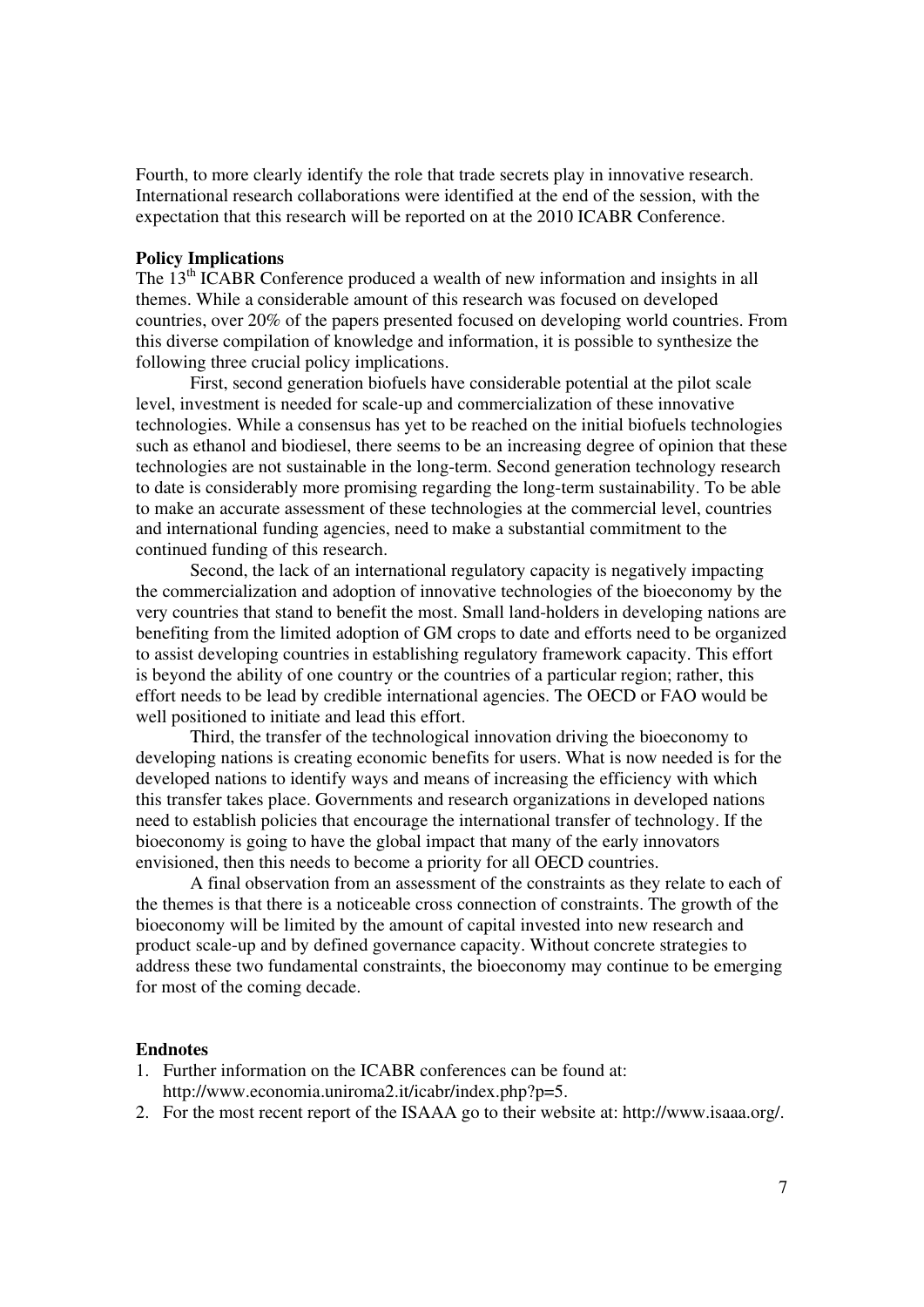Fourth, to more clearly identify the role that trade secrets play in innovative research. International research collaborations were identified at the end of the session, with the expectation that this research will be reported on at the 2010 ICABR Conference.

## **Policy Implications**

The 13<sup>th</sup> ICABR Conference produced a wealth of new information and insights in all themes. While a considerable amount of this research was focused on developed countries, over 20% of the papers presented focused on developing world countries. From this diverse compilation of knowledge and information, it is possible to synthesize the following three crucial policy implications.

First, second generation biofuels have considerable potential at the pilot scale level, investment is needed for scale-up and commercialization of these innovative technologies. While a consensus has yet to be reached on the initial biofuels technologies such as ethanol and biodiesel, there seems to be an increasing degree of opinion that these technologies are not sustainable in the long-term. Second generation technology research to date is considerably more promising regarding the long-term sustainability. To be able to make an accurate assessment of these technologies at the commercial level, countries and international funding agencies, need to make a substantial commitment to the continued funding of this research.

Second, the lack of an international regulatory capacity is negatively impacting the commercialization and adoption of innovative technologies of the bioeconomy by the very countries that stand to benefit the most. Small land-holders in developing nations are benefiting from the limited adoption of GM crops to date and efforts need to be organized to assist developing countries in establishing regulatory framework capacity. This effort is beyond the ability of one country or the countries of a particular region; rather, this effort needs to be lead by credible international agencies. The OECD or FAO would be well positioned to initiate and lead this effort.

Third, the transfer of the technological innovation driving the bioeconomy to developing nations is creating economic benefits for users. What is now needed is for the developed nations to identify ways and means of increasing the efficiency with which this transfer takes place. Governments and research organizations in developed nations need to establish policies that encourage the international transfer of technology. If the bioeconomy is going to have the global impact that many of the early innovators envisioned, then this needs to become a priority for all OECD countries.

A final observation from an assessment of the constraints as they relate to each of the themes is that there is a noticeable cross connection of constraints. The growth of the bioeconomy will be limited by the amount of capital invested into new research and product scale-up and by defined governance capacity. Without concrete strategies to address these two fundamental constraints, the bioeconomy may continue to be emerging for most of the coming decade.

#### **Endnotes**

- 1. Further information on the ICABR conferences can be found at: http://www.economia.uniroma2.it/icabr/index.php?p=5.
- 2. For the most recent report of the ISAAA go to their website at: http://www.isaaa.org/.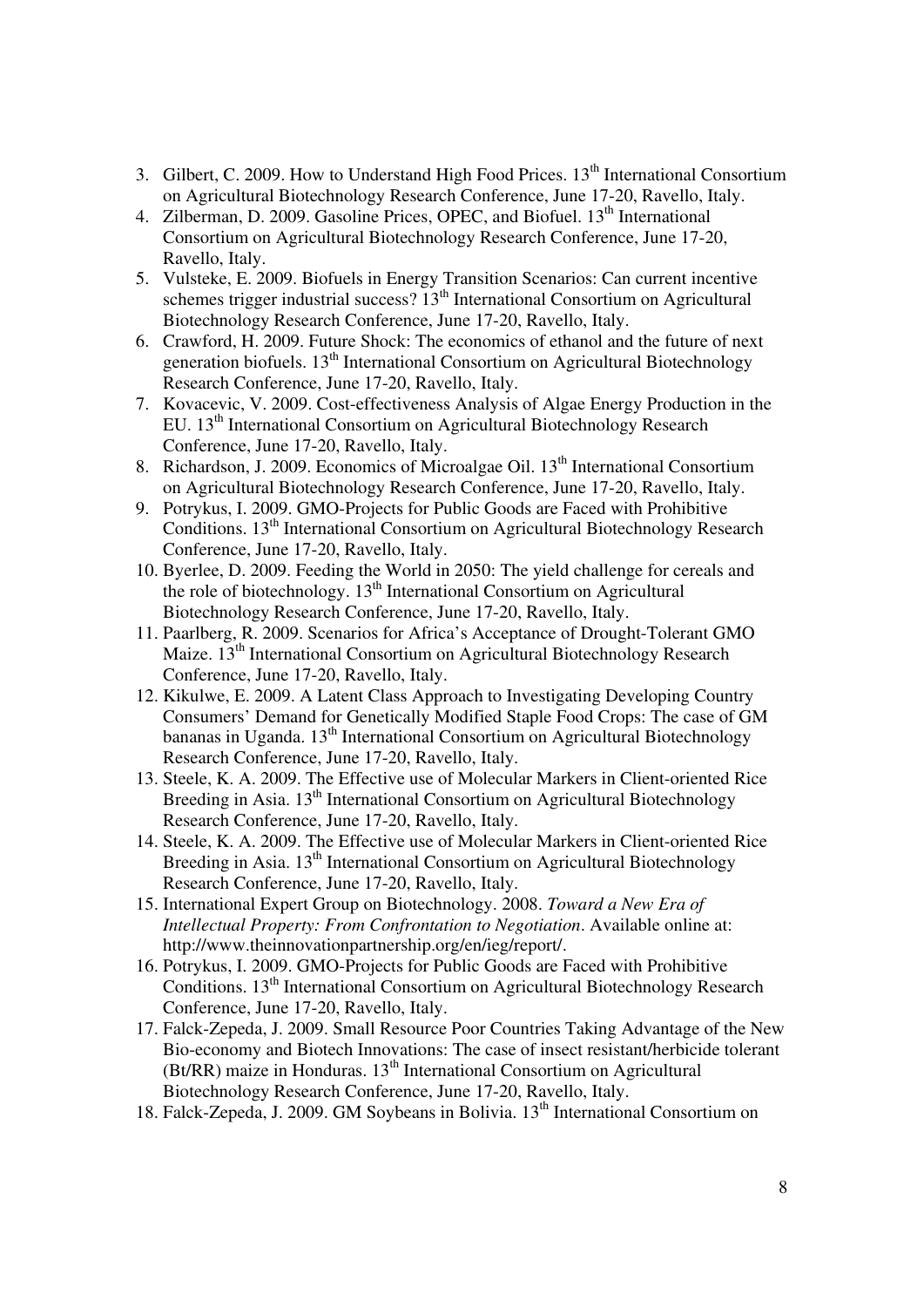- 3. Gilbert, C. 2009. How to Understand High Food Prices.  $13<sup>th</sup>$  International Consortium on Agricultural Biotechnology Research Conference, June 17-20, Ravello, Italy.
- 4. Zilberman, D. 2009. Gasoline Prices, OPEC, and Biofuel. 13<sup>th</sup> International Consortium on Agricultural Biotechnology Research Conference, June 17-20, Ravello, Italy.
- 5. Vulsteke, E. 2009. Biofuels in Energy Transition Scenarios: Can current incentive schemes trigger industrial success? 13<sup>th</sup> International Consortium on Agricultural Biotechnology Research Conference, June 17-20, Ravello, Italy.
- 6. Crawford, H. 2009. Future Shock: The economics of ethanol and the future of next generation biofuels.  $13<sup>th</sup>$  International Consortium on Agricultural Biotechnology Research Conference, June 17-20, Ravello, Italy.
- 7. Kovacevic, V. 2009. Cost-effectiveness Analysis of Algae Energy Production in the EU. 13th International Consortium on Agricultural Biotechnology Research Conference, June 17-20, Ravello, Italy.
- 8. Richardson, J. 2009. Economics of Microalgae Oil. 13<sup>th</sup> International Consortium on Agricultural Biotechnology Research Conference, June 17-20, Ravello, Italy.
- 9. Potrykus, I. 2009. GMO-Projects for Public Goods are Faced with Prohibitive Conditions. 13<sup>th</sup> International Consortium on Agricultural Biotechnology Research Conference, June 17-20, Ravello, Italy.
- 10. Byerlee, D. 2009. Feeding the World in 2050: The yield challenge for cereals and the role of biotechnology.  $13<sup>th</sup>$  International Consortium on Agricultural Biotechnology Research Conference, June 17-20, Ravello, Italy.
- 11. Paarlberg, R. 2009. Scenarios for Africa's Acceptance of Drought-Tolerant GMO Maize. 13<sup>th</sup> International Consortium on Agricultural Biotechnology Research Conference, June 17-20, Ravello, Italy.
- 12. Kikulwe, E. 2009. A Latent Class Approach to Investigating Developing Country Consumers' Demand for Genetically Modified Staple Food Crops: The case of GM bananas in Uganda. 13<sup>th</sup> International Consortium on Agricultural Biotechnology Research Conference, June 17-20, Ravello, Italy.
- 13. Steele, K. A. 2009. The Effective use of Molecular Markers in Client-oriented Rice Breeding in Asia.  $13<sup>th</sup>$  International Consortium on Agricultural Biotechnology Research Conference, June 17-20, Ravello, Italy.
- 14. Steele, K. A. 2009. The Effective use of Molecular Markers in Client-oriented Rice Breeding in Asia. 13<sup>th</sup> International Consortium on Agricultural Biotechnology Research Conference, June 17-20, Ravello, Italy.
- 15. International Expert Group on Biotechnology. 2008. *Toward a New Era of Intellectual Property: From Confrontation to Negotiation*. Available online at: http://www.theinnovationpartnership.org/en/ieg/report/.
- 16. Potrykus, I. 2009. GMO-Projects for Public Goods are Faced with Prohibitive Conditions. 13<sup>th</sup> International Consortium on Agricultural Biotechnology Research Conference, June 17-20, Ravello, Italy.
- 17. Falck-Zepeda, J. 2009. Small Resource Poor Countries Taking Advantage of the New Bio-economy and Biotech Innovations: The case of insect resistant/herbicide tolerant  $(Bt/RR)$  maize in Honduras.  $13<sup>th</sup>$  International Consortium on Agricultural Biotechnology Research Conference, June 17-20, Ravello, Italy.
- 18. Falck-Zepeda, J. 2009. GM Soybeans in Bolivia. 13<sup>th</sup> International Consortium on